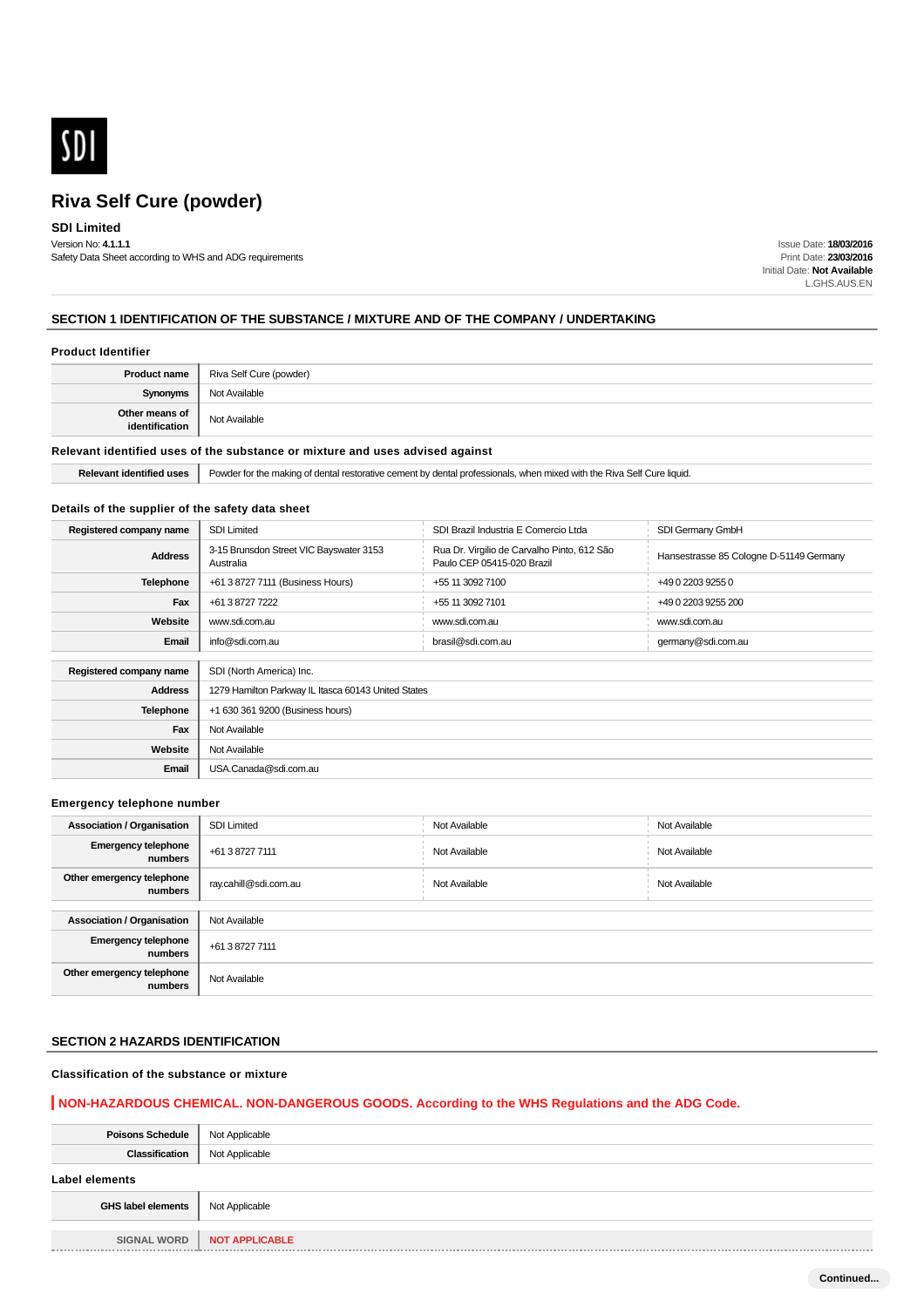

## **SDI Limited**

Version No: **4.1.1.1** Safety Data Sheet according to WHS and ADG requirements

Issue Date: **18/03/2016** Print Date: **23/03/2016** Initial Date: **Not Available** L.GHS.AUS.EN

## **SECTION 1 IDENTIFICATION OF THE SUBSTANCE / MIXTURE AND OF THE COMPANY / UNDERTAKING**

## **Product Identifier**

|                                  | <b>Product name</b>   Riva Self Cure (powder) |
|----------------------------------|-----------------------------------------------|
| <b>Synonyms</b>                  | Not Available                                 |
| Other means of<br>identification | Not Available                                 |

## **Relevant identified uses of the substance or mixture and uses advised against**

Relevant identified uses **P** Powder for the making of dental restorative cement by dental professionals, when mixed with the Riva Self Cure liquid.

### **Details of the supplier of the safety data sheet**

| Registered company name | <b>SDI Limited</b>                                   | SDI Brazil Industria E Comercio Ltda                                      | SDI Germany GmbH                        |  |  |
|-------------------------|------------------------------------------------------|---------------------------------------------------------------------------|-----------------------------------------|--|--|
| <b>Address</b>          | 3-15 Brunsdon Street VIC Bayswater 3153<br>Australia | Rua Dr. Virgilio de Carvalho Pinto, 612 São<br>Paulo CEP 05415-020 Brazil | Hansestrasse 85 Cologne D-51149 Germany |  |  |
| <b>Telephone</b>        | +61 3 8727 7111 (Business Hours)                     | +55 11 3092 7100                                                          | +49 0 2203 9255 0                       |  |  |
| Fax                     | +61 3 8727 7222                                      | +55 11 3092 7101                                                          | +49 0 2203 9255 200                     |  |  |
| Website                 | www.sdi.com.au                                       | www.sdi.com.au                                                            | www.sdi.com.au                          |  |  |
| Email                   | info@sdi.com.au                                      | brasil@sdi.com.au                                                         | germany@sdi.com.au                      |  |  |
|                         |                                                      |                                                                           |                                         |  |  |
| Registered company name | SDI (North America) Inc.                             |                                                                           |                                         |  |  |
| <b>Address</b>          | 1279 Hamilton Parkway IL Itasca 60143 United States  |                                                                           |                                         |  |  |
| <b>Telephone</b>        | +1 630 361 9200 (Business hours)                     |                                                                           |                                         |  |  |
| Fax                     | Not Available                                        |                                                                           |                                         |  |  |
| Website                 | Not Available                                        |                                                                           |                                         |  |  |
| Email                   | USA.Canada@sdi.com.au                                |                                                                           |                                         |  |  |

### **Emergency telephone number**

| <b>Association / Organisation</b>     | <b>SDI Limited</b>    | Not Available | Not Available |
|---------------------------------------|-----------------------|---------------|---------------|
| <b>Emergency telephone</b><br>numbers | +61 3 8727 7111       | Not Available | Not Available |
| Other emergency telephone<br>numbers  | ray.cahill@sdi.com.au | Not Available | Not Available |
|                                       |                       |               |               |
| <b>Association / Organisation</b>     | Not Available         |               |               |
| <b>Emergency telephone</b><br>numbers | +61 3 8727 7111       |               |               |
| Other emergency telephone<br>numbers  | Not Available         |               |               |

## **SECTION 2 HAZARDS IDENTIFICATION**

## **Classification of the substance or mixture**

## **NON-HAZARDOUS CHEMICAL. NON-DANGEROUS GOODS. According to the WHS Regulations and the ADG Code.**

| <b>Poisons Schedule</b>   | Not Applicable        |
|---------------------------|-----------------------|
| <b>Classification</b>     | Not Applicable        |
| <b>Label elements</b>     |                       |
| <b>GHS label elements</b> | Not Applicable        |
| <b>SIGNAL WORD</b>        | <b>NOT APPLICABLE</b> |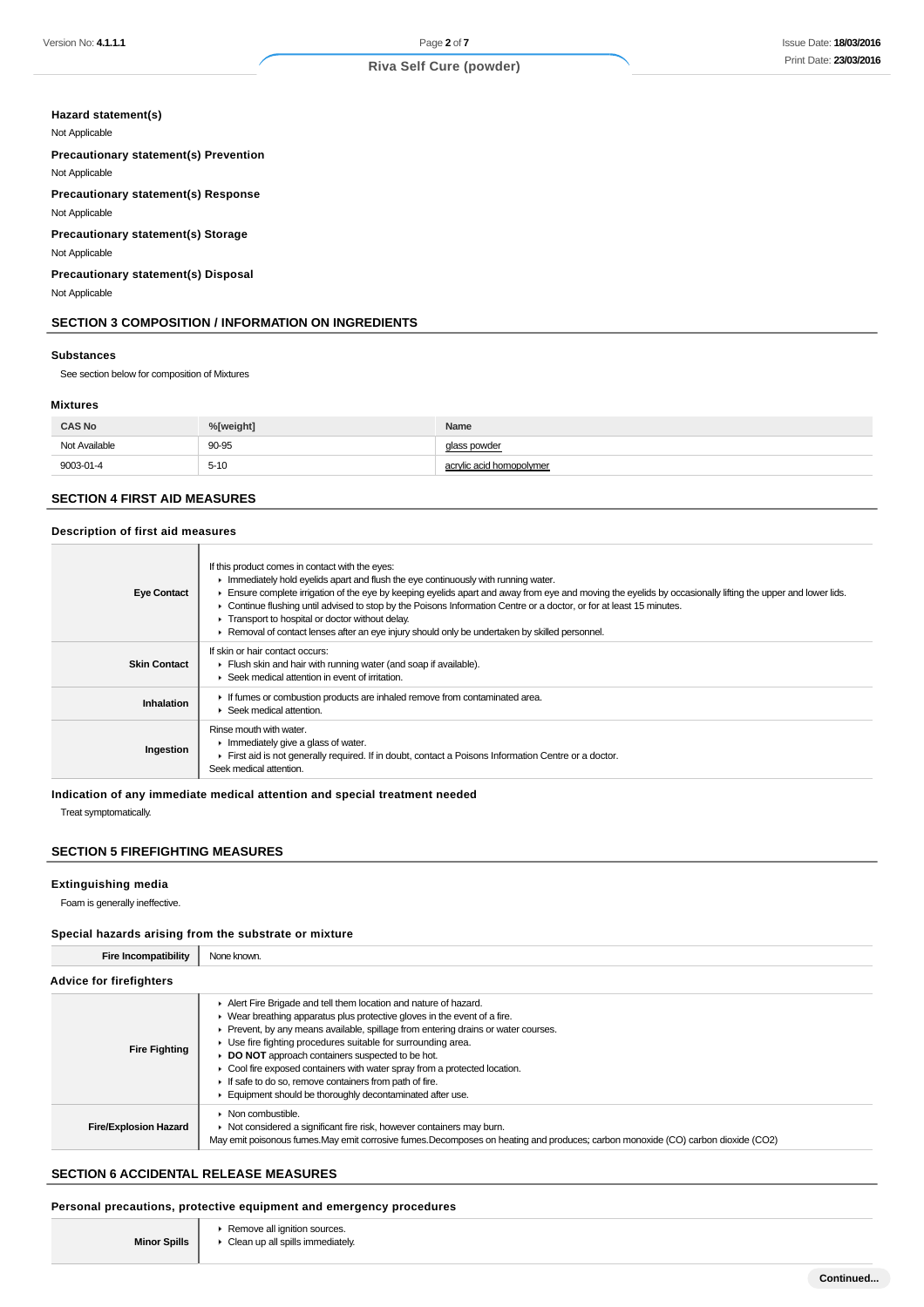## **Hazard statement(s)**

Not Applicable

**Precautionary statement(s) Prevention**

Not Applicable

**Precautionary statement(s) Response**

Not Applicable

**Precautionary statement(s) Storage**

Not Applicable

**Precautionary statement(s) Disposal**

Not Applicable

### **SECTION 3 COMPOSITION / INFORMATION ON INGREDIENTS**

#### **Substances**

See section below for composition of Mixtures

#### **Mixtures**

| <b>CAS No</b> | %[weight]          | Name                     |
|---------------|--------------------|--------------------------|
| Not Available | 90-95              | glass powder             |
| 9003-01-4     | $5 - 10$<br>$\sim$ | acrylic acid homopolymer |

## **SECTION 4 FIRST AID MEASURES**

#### **Description of first aid measures**

| <b>Eye Contact</b>  | If this product comes in contact with the eyes:<br>In mediately hold eyelids apart and flush the eye continuously with running water.<br>Ensure complete irrigation of the eye by keeping eyelids apart and away from eye and moving the eyelids by occasionally lifting the upper and lower lids.<br>Continue flushing until advised to stop by the Poisons Information Centre or a doctor, or for at least 15 minutes.<br>Transport to hospital or doctor without delay.<br>Removal of contact lenses after an eye injury should only be undertaken by skilled personnel. |
|---------------------|-----------------------------------------------------------------------------------------------------------------------------------------------------------------------------------------------------------------------------------------------------------------------------------------------------------------------------------------------------------------------------------------------------------------------------------------------------------------------------------------------------------------------------------------------------------------------------|
| <b>Skin Contact</b> | If skin or hair contact occurs:<br>Flush skin and hair with running water (and soap if available).<br>$\blacktriangleright$ Seek medical attention in event of irritation.                                                                                                                                                                                                                                                                                                                                                                                                  |
| Inhalation          | If fumes or combustion products are inhaled remove from contaminated area.<br>Seek medical attention.                                                                                                                                                                                                                                                                                                                                                                                                                                                                       |
| Ingestion           | Rinse mouth with water.<br>$\blacktriangleright$ Immediately give a glass of water.<br>First aid is not generally required. If in doubt, contact a Poisons Information Centre or a doctor.<br>Seek medical attention.                                                                                                                                                                                                                                                                                                                                                       |

**Indication of any immediate medical attention and special treatment needed**

Treat symptomatically.

## **SECTION 5 FIREFIGHTING MEASURES**

#### **Extinguishing media**

Foam is generally ineffective.

### **Special hazards arising from the substrate or mixture**

| <b>Fire Incompatibility</b>    | None known.                                                                                                                                                                                                                                                                                                                                                                                                                                                                                                                                              |
|--------------------------------|----------------------------------------------------------------------------------------------------------------------------------------------------------------------------------------------------------------------------------------------------------------------------------------------------------------------------------------------------------------------------------------------------------------------------------------------------------------------------------------------------------------------------------------------------------|
| <b>Advice for firefighters</b> |                                                                                                                                                                                                                                                                                                                                                                                                                                                                                                                                                          |
| <b>Fire Fighting</b>           | Alert Fire Brigade and tell them location and nature of hazard.<br>• Wear breathing apparatus plus protective gloves in the event of a fire.<br>• Prevent, by any means available, spillage from entering drains or water courses.<br>► Use fire fighting procedures suitable for surrounding area.<br>DO NOT approach containers suspected to be hot.<br>Cool fire exposed containers with water spray from a protected location.<br>If safe to do so, remove containers from path of fire.<br>Equipment should be thoroughly decontaminated after use. |
| <b>Fire/Explosion Hazard</b>   | $\triangleright$ Non combustible.<br>• Not considered a significant fire risk, however containers may burn.<br>May emit poisonous fumes. May emit corrosive fumes. Decomposes on heating and produces; carbon monoxide (CO) carbon dioxide (CO2)                                                                                                                                                                                                                                                                                                         |

## **SECTION 6 ACCIDENTAL RELEASE MEASURES**

### **Personal precautions, protective equipment and emergency procedures**

**Remove all ignition sources.** ▶ Clean up all spills immediately.

**Minor Spills**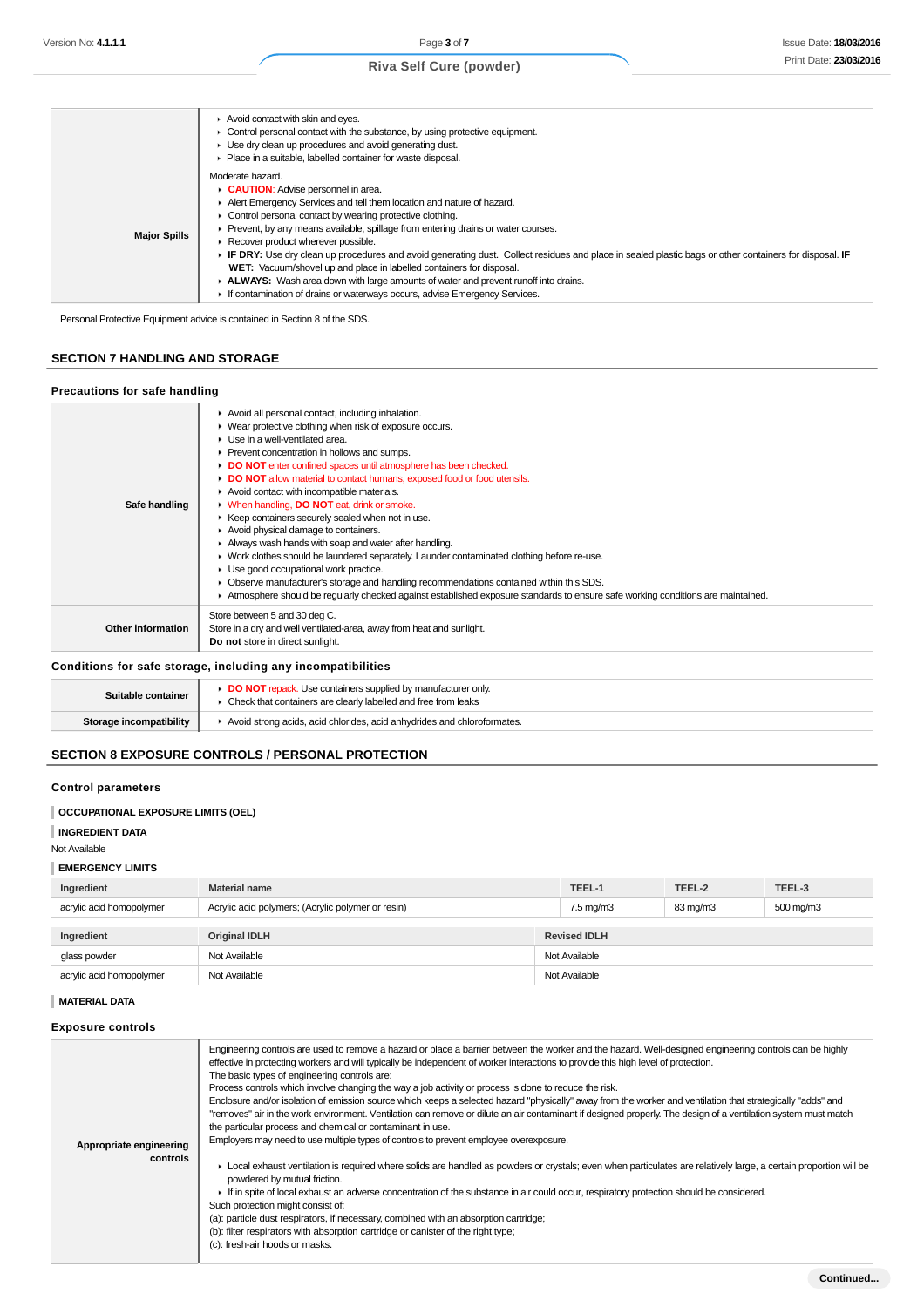|                     | Avoid contact with skin and eyes.<br>• Control personal contact with the substance, by using protective equipment.<br>• Use dry clean up procedures and avoid generating dust.<br>Place in a suitable, labelled container for waste disposal.                                                                                                                                                                                                                                                                                                                                                                                                                                                                                      |
|---------------------|------------------------------------------------------------------------------------------------------------------------------------------------------------------------------------------------------------------------------------------------------------------------------------------------------------------------------------------------------------------------------------------------------------------------------------------------------------------------------------------------------------------------------------------------------------------------------------------------------------------------------------------------------------------------------------------------------------------------------------|
| <b>Major Spills</b> | Moderate hazard.<br>CAUTION: Advise personnel in area.<br>Alert Emergency Services and tell them location and nature of hazard.<br>• Control personal contact by wearing protective clothing.<br>• Prevent, by any means available, spillage from entering drains or water courses.<br>▶ Recover product wherever possible.<br>F IF DRY: Use dry clean up procedures and avoid generating dust. Collect residues and place in sealed plastic bags or other containers for disposal. IF<br>WET: Vacuum/shovel up and place in labelled containers for disposal.<br>ALWAYS: Wash area down with large amounts of water and prevent runoff into drains.<br>If contamination of drains or waterways occurs, advise Emergency Services. |

Personal Protective Equipment advice is contained in Section 8 of the SDS.

## **SECTION 7 HANDLING AND STORAGE**

### **Precautions for safe handling**

| Safe handling      | Avoid all personal contact, including inhalation.<br>• Wear protective clothing when risk of exposure occurs.<br>$\blacktriangleright$ Use in a well-ventilated area.<br>▶ Prevent concentration in hollows and sumps.<br>DO NOT enter confined spaces until atmosphere has been checked.<br>DO NOT allow material to contact humans, exposed food or food utensils.<br>Avoid contact with incompatible materials.<br>• When handling, DO NOT eat, drink or smoke.<br>▶ Keep containers securely sealed when not in use.<br>Avoid physical damage to containers.<br>Always wash hands with soap and water after handling.<br>• Work clothes should be laundered separately. Launder contaminated clothing before re-use.<br>• Use good occupational work practice.<br>Observe manufacturer's storage and handling recommendations contained within this SDS.<br>Atmosphere should be regularly checked against established exposure standards to ensure safe working conditions are maintained. |
|--------------------|-------------------------------------------------------------------------------------------------------------------------------------------------------------------------------------------------------------------------------------------------------------------------------------------------------------------------------------------------------------------------------------------------------------------------------------------------------------------------------------------------------------------------------------------------------------------------------------------------------------------------------------------------------------------------------------------------------------------------------------------------------------------------------------------------------------------------------------------------------------------------------------------------------------------------------------------------------------------------------------------------|
| Other information  | Store between 5 and 30 deg C.<br>Store in a dry and well ventilated-area, away from heat and sunlight.<br>Do not store in direct sunlight.                                                                                                                                                                                                                                                                                                                                                                                                                                                                                                                                                                                                                                                                                                                                                                                                                                                      |
|                    | Conditions for safe storage, including any incompatibilities                                                                                                                                                                                                                                                                                                                                                                                                                                                                                                                                                                                                                                                                                                                                                                                                                                                                                                                                    |
| Suitable container | DO NOT repack. Use containers supplied by manufacturer only.<br>Check that containers are clearly labelled and free from leaks                                                                                                                                                                                                                                                                                                                                                                                                                                                                                                                                                                                                                                                                                                                                                                                                                                                                  |

# **SECTION 8 EXPOSURE CONTROLS / PERSONAL PROTECTION**

**Storage incompatibility | Avoid strong acids, acid chlorides, acid anhydrides and chloroformates.** 

## **Control parameters**

## **OCCUPATIONAL EXPOSURE LIMITS (OEL)**

#### **INGREDIENT DATA**

Not Available

## **EMERGENCY LIMITS**

| Ingredient               | <b>Material name</b>                              |               | TEEL-1               | TEEL-2   | TEEL-3               |
|--------------------------|---------------------------------------------------|---------------|----------------------|----------|----------------------|
| acrylic acid homopolymer | Acrylic acid polymers; (Acrylic polymer or resin) |               | $7.5 \text{ mg/m}$ 3 | 83 mg/m3 | $500 \text{ mg/m}$ 3 |
|                          |                                                   |               |                      |          |                      |
| Ingredient               | <b>Original IDLH</b>                              |               | <b>Revised IDLH</b>  |          |                      |
| glass powder             | Not Available                                     | Not Available |                      |          |                      |
| acrylic acid homopolymer | Not Available                                     | Not Available |                      |          |                      |

### **MATERIAL DATA**

## **Exposure controls**

| Appropriate engineering<br>controls | Engineering controls are used to remove a hazard or place a barrier between the worker and the hazard. Well-designed engineering controls can be highly<br>effective in protecting workers and will typically be independent of worker interactions to provide this high level of protection.<br>The basic types of engineering controls are:<br>Process controls which involve changing the way a job activity or process is done to reduce the risk.<br>Enclosure and/or isolation of emission source which keeps a selected hazard "physically" away from the worker and ventilation that strategically "adds" and<br>"removes" air in the work environment. Ventilation can remove or dilute an air contaminant if designed properly. The design of a ventilation system must match<br>the particular process and chemical or contaminant in use.<br>Employers may need to use multiple types of controls to prevent employee overexposure.<br>► Local exhaust ventilation is required where solids are handled as powders or crystals; even when particulates are relatively large, a certain proportion will be<br>powdered by mutual friction.<br>If in spite of local exhaust an adverse concentration of the substance in air could occur, respiratory protection should be considered.<br>Such protection might consist of:<br>(a): particle dust respirators, if necessary, combined with an absorption cartridge;<br>(b): filter respirators with absorption cartridge or canister of the right type;<br>(c): fresh-air hoods or masks. |
|-------------------------------------|-----------------------------------------------------------------------------------------------------------------------------------------------------------------------------------------------------------------------------------------------------------------------------------------------------------------------------------------------------------------------------------------------------------------------------------------------------------------------------------------------------------------------------------------------------------------------------------------------------------------------------------------------------------------------------------------------------------------------------------------------------------------------------------------------------------------------------------------------------------------------------------------------------------------------------------------------------------------------------------------------------------------------------------------------------------------------------------------------------------------------------------------------------------------------------------------------------------------------------------------------------------------------------------------------------------------------------------------------------------------------------------------------------------------------------------------------------------------------------------------------------------------------------------------------------|
|                                     |                                                                                                                                                                                                                                                                                                                                                                                                                                                                                                                                                                                                                                                                                                                                                                                                                                                                                                                                                                                                                                                                                                                                                                                                                                                                                                                                                                                                                                                                                                                                                     |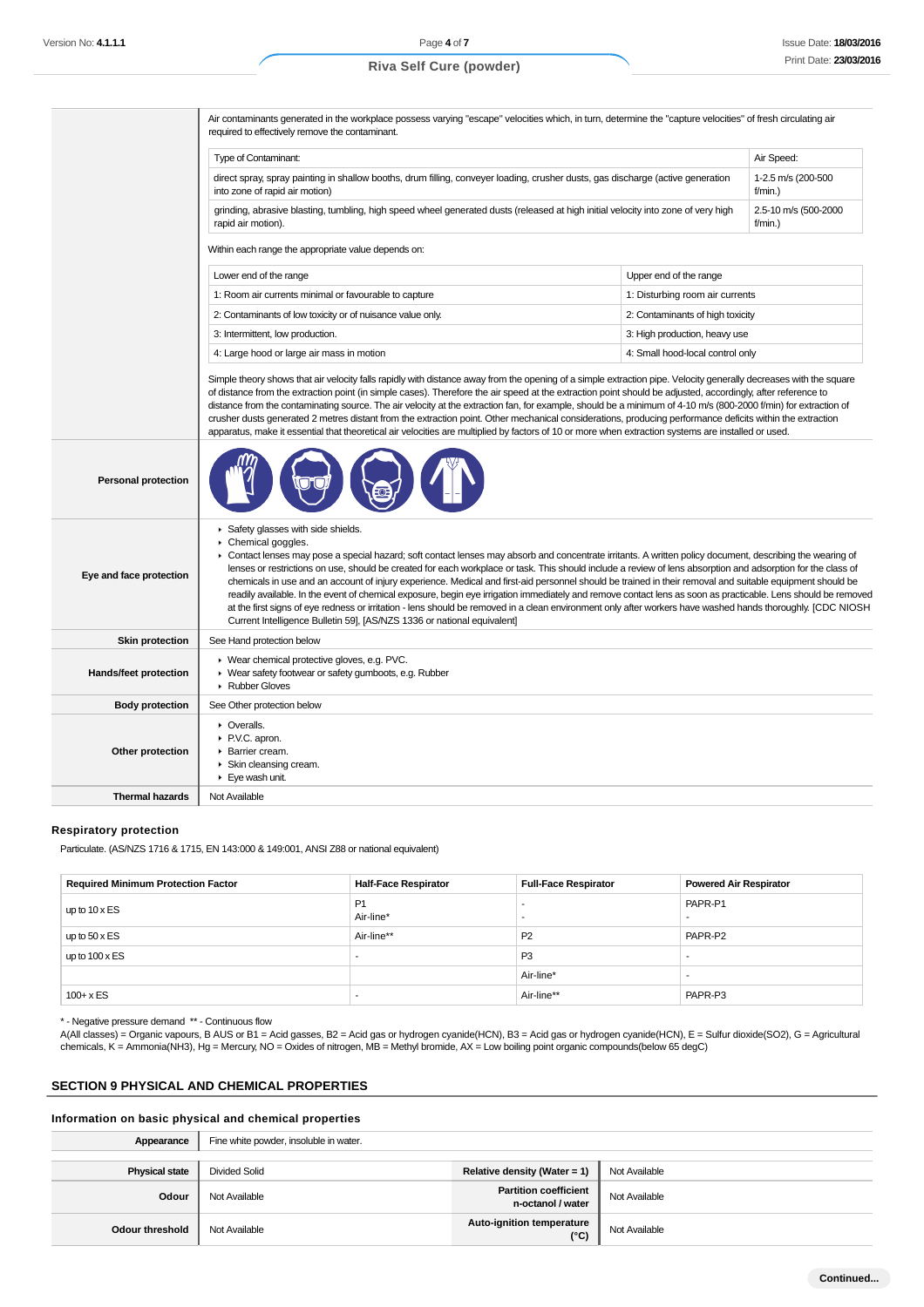Air contaminants generated in the workplace possess varying "escape" velocities which, in turn, determine the "capture velocities" of fresh circulating air required to effectively remove the contaminant. Type of Contaminant: Air Speed: Air Speed: Air Speed: Air Speed: Air Speed: Air Speed: Air Speed: Air Speed: Air Speed: Air Speed: Air Speed: Air Speed: Air Speed: Air Speed: Air Speed: Air Speed: Air Speed: Air Speed: Air direct spray, spray painting in shallow booths, drum filling, conveyer loading, crusher dusts, gas discharge (active generation into zone of rapid air motion) 1-2.5 m/s (200-500 f/min.) grinding, abrasive blasting, tumbling, high speed wheel generated dusts (released at high initial velocity into zone of very high rapid air motion). 2.5-10 m/s (500-2000 f/min.) Within each range the appropriate value depends on: Lower end of the range Upper end of the range Upper end of the range Upper end of the range 1: Room air currents minimal or favourable to capture 1: Disturbing room air currents 2: Contaminants of low toxicity or of nuisance value only. <br>
2: Contaminants of high toxicity 3: Intermittent, low production. 3: High production, heavy use 4: Large hood or large air mass in motion  $\vert$  4: Small hood-local control only Simple theory shows that air velocity falls rapidly with distance away from the opening of a simple extraction pipe. Velocity generally decreases with the square of distance from the extraction point (in simple cases). Therefore the air speed at the extraction point should be adjusted, accordingly, after reference to distance from the contaminating source. The air velocity at the extraction fan, for example, should be a minimum of 4-10 m/s (800-2000 f/min) for extraction of crusher dusts generated 2 metres distant from the extraction point. Other mechanical considerations, producing performance deficits within the extraction apparatus, make it essential that theoretical air velocities are multiplied by factors of 10 or more when extraction systems are installed or used. **Personal protection Eye and face protection** Safety glasses with side shields. Chemical goggles. Contact lenses may pose a special hazard; soft contact lenses may absorb and concentrate irritants. A written policy document, describing the wearing of lenses or restrictions on use, should be created for each workplace or task. This should include a review of lens absorption and adsorption for the class of chemicals in use and an account of injury experience. Medical and first-aid personnel should be trained in their removal and suitable equipment should be readily available. In the event of chemical exposure, begin eye irrigation immediately and remove contact lens as soon as practicable. Lens should be removed at the first signs of eye redness or irritation - lens should be removed in a clean environment only after workers have washed hands thoroughly. [CDC NIOSH Current Intelligence Bulletin 59], [AS/NZS 1336 or national equivalent] **Skin protection** See Hand protection below **Hands/feet protection** ▶ Wear chemical protective gloves, e.g. PVC. ▶ Wear safety footwear or safety gumboots, e.g. Rubber Rubber Gloves **Body protection** See Other protection below **Other protection** Overalls.  $\blacktriangleright$  PVC apron. **Barrier cream.** Skin cleansing cream. ▶ Eve wash unit. **Thermal hazards** Not Available

#### **Respiratory protection**

Particulate. (AS/NZS 1716 & 1715, EN 143:000 & 149:001, ANSI Z88 or national equivalent)

| <b>Required Minimum Protection Factor</b> | <b>Half-Face Respirator</b> | <b>Full-Face Respirator</b> | <b>Powered Air Respirator</b> |
|-------------------------------------------|-----------------------------|-----------------------------|-------------------------------|
| up to $10 \times ES$                      | P <sub>1</sub><br>Air-line* |                             | PAPR-P1                       |
| up to $50 \times ES$                      | Air-line**                  | <b>P2</b>                   | PAPR-P2                       |
| up to $100 \times ES$                     |                             | P <sub>3</sub>              | -                             |
|                                           |                             | Air-line*                   | -                             |
| $100 + x ES$                              |                             | Air-line**                  | PAPR-P3                       |

\* - Negative pressure demand \*\* - Continuous flow

A(All classes) = Organic vapours, B AUS or B1 = Acid gasses, B2 = Acid gas or hydrogen cyanide(HCN), B3 = Acid gas or hydrogen cyanide(HCN), E = Sulfur dioxide(SO2), G = Agricultural chemicals, K = Ammonia(NH3), Hg = Mercury, NO = Oxides of nitrogen, MB = Methyl bromide, AX = Low boiling point organic compounds(below 65 degC)

#### **SECTION 9 PHYSICAL AND CHEMICAL PROPERTIES**

#### **Information on basic physical and chemical properties**

| Appearance            | Fine white powder, insoluble in water. |                                                   |               |
|-----------------------|----------------------------------------|---------------------------------------------------|---------------|
|                       |                                        |                                                   |               |
| <b>Physical state</b> | <b>Divided Solid</b>                   | Relative density (Water = 1)                      | Not Available |
| Odour                 | Not Available                          | <b>Partition coefficient</b><br>n-octanol / water | Not Available |
| Odour threshold       | Not Available                          | Auto-ignition temperature<br>$(^{\circ}C)$        | Not Available |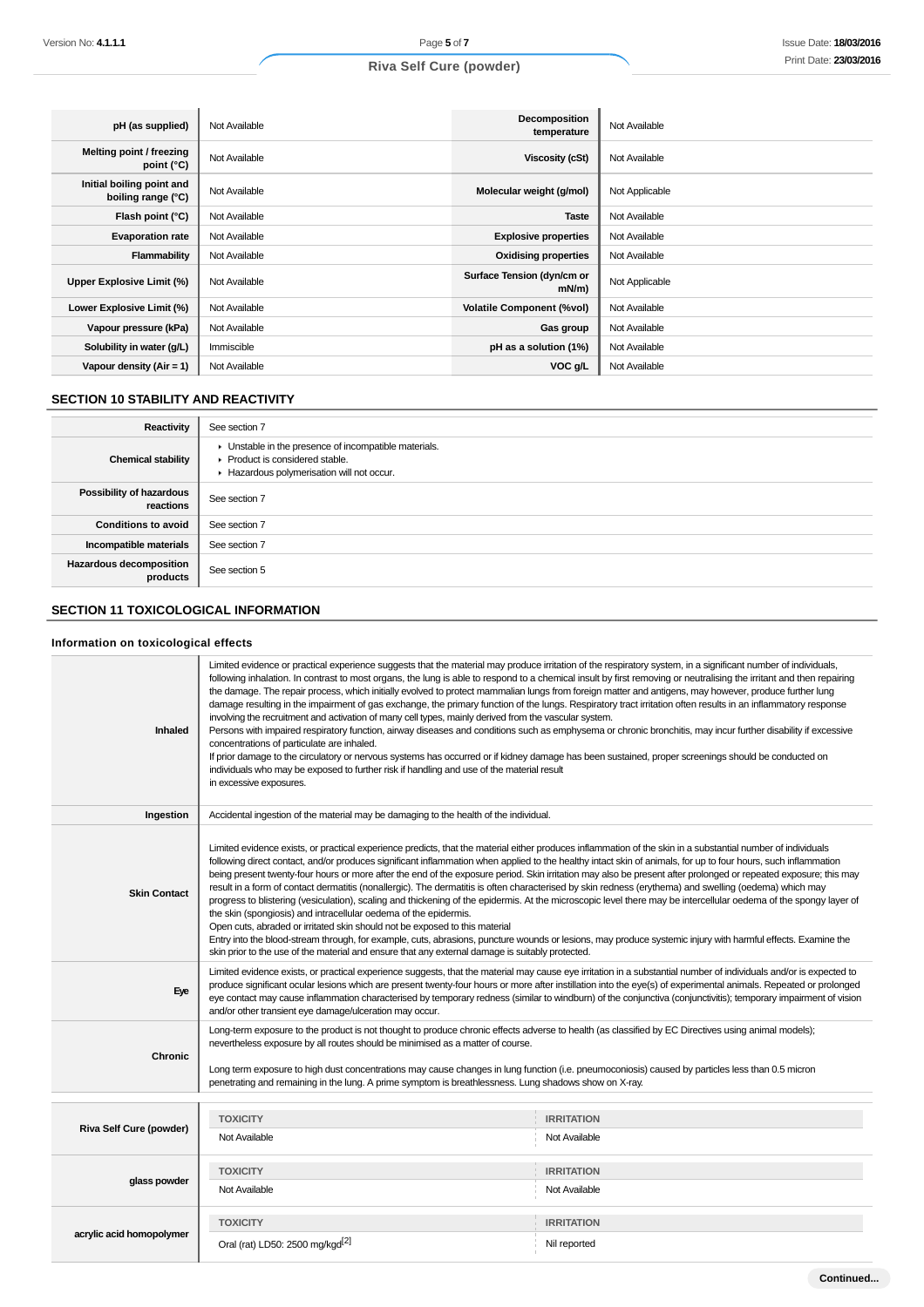| pH (as supplied)                                | Not Available | <b>Decomposition</b><br>temperature    | Not Available  |
|-------------------------------------------------|---------------|----------------------------------------|----------------|
| Melting point / freezing<br>point $(^{\circ}C)$ | Not Available | Viscosity (cSt)                        | Not Available  |
| Initial boiling point and<br>boiling range (°C) | Not Available | Molecular weight (g/mol)               | Not Applicable |
| Flash point (°C)                                | Not Available | <b>Taste</b>                           | Not Available  |
| <b>Evaporation rate</b>                         | Not Available | <b>Explosive properties</b>            | Not Available  |
| Flammability                                    | Not Available | <b>Oxidising properties</b>            | Not Available  |
| Upper Explosive Limit (%)                       | Not Available | Surface Tension (dyn/cm or<br>$mN/m$ ) | Not Applicable |
| Lower Explosive Limit (%)                       | Not Available | <b>Volatile Component (%vol)</b>       | Not Available  |
| Vapour pressure (kPa)                           | Not Available | Gas group                              | Not Available  |
| Solubility in water (g/L)                       | Immiscible    | pH as a solution (1%)                  | Not Available  |
| Vapour density $(Air = 1)$                      | Not Available | VOC g/L                                | Not Available  |

## **SECTION 10 STABILITY AND REACTIVITY**

| Reactivity                                 | See section 7                                                                                                                        |
|--------------------------------------------|--------------------------------------------------------------------------------------------------------------------------------------|
| <b>Chemical stability</b>                  | • Unstable in the presence of incompatible materials.<br>▶ Product is considered stable.<br>Hazardous polymerisation will not occur. |
| Possibility of hazardous<br>reactions      | See section 7                                                                                                                        |
| <b>Conditions to avoid</b>                 | See section 7                                                                                                                        |
| Incompatible materials                     | See section 7                                                                                                                        |
| <b>Hazardous decomposition</b><br>products | See section 5                                                                                                                        |

## **SECTION 11 TOXICOLOGICAL INFORMATION**

## **Information on toxicological effects**

| Inhaled                  | Limited evidence or practical experience suggests that the material may produce irritation of the respiratory system, in a significant number of individuals,<br>following inhalation. In contrast to most organs, the lung is able to respond to a chemical insult by first removing or neutralising the irritant and then repairing<br>the damage. The repair process, which initially evolved to protect mammalian lungs from foreign matter and antigens, may however, produce further lung<br>damage resulting in the impairment of gas exchange, the primary function of the lungs. Respiratory tract irritation often results in an inflammatory response<br>involving the recruitment and activation of many cell types, mainly derived from the vascular system.<br>Persons with impaired respiratory function, airway diseases and conditions such as emphysema or chronic bronchitis, may incur further disability if excessive<br>concentrations of particulate are inhaled.<br>If prior damage to the circulatory or nervous systems has occurred or if kidney damage has been sustained, proper screenings should be conducted on<br>individuals who may be exposed to further risk if handling and use of the material result<br>in excessive exposures. |                   |  |
|--------------------------|-------------------------------------------------------------------------------------------------------------------------------------------------------------------------------------------------------------------------------------------------------------------------------------------------------------------------------------------------------------------------------------------------------------------------------------------------------------------------------------------------------------------------------------------------------------------------------------------------------------------------------------------------------------------------------------------------------------------------------------------------------------------------------------------------------------------------------------------------------------------------------------------------------------------------------------------------------------------------------------------------------------------------------------------------------------------------------------------------------------------------------------------------------------------------------------------------------------------------------------------------------------------------|-------------------|--|
| Ingestion                | Accidental ingestion of the material may be damaging to the health of the individual.                                                                                                                                                                                                                                                                                                                                                                                                                                                                                                                                                                                                                                                                                                                                                                                                                                                                                                                                                                                                                                                                                                                                                                                   |                   |  |
| <b>Skin Contact</b>      | Limited evidence exists, or practical experience predicts, that the material either produces inflammation of the skin in a substantial number of individuals<br>following direct contact, and/or produces significant inflammation when applied to the healthy intact skin of animals, for up to four hours, such inflammation<br>being present twenty-four hours or more after the end of the exposure period. Skin irritation may also be present after prolonged or repeated exposure; this may<br>result in a form of contact dermatitis (nonallergic). The dermatitis is often characterised by skin redness (erythema) and swelling (oedema) which may<br>progress to blistering (vesiculation), scaling and thickening of the epidermis. At the microscopic level there may be intercellular oedema of the spongy layer of<br>the skin (spongiosis) and intracellular oedema of the epidermis.<br>Open cuts, abraded or irritated skin should not be exposed to this material<br>Entry into the blood-stream through, for example, cuts, abrasions, puncture wounds or lesions, may produce systemic injury with harmful effects. Examine the<br>skin prior to the use of the material and ensure that any external damage is suitably protected.                |                   |  |
| Eye                      | Limited evidence exists, or practical experience suggests, that the material may cause eye irritation in a substantial number of individuals and/or is expected to<br>produce significant ocular lesions which are present twenty-four hours or more after instillation into the eye(s) of experimental animals. Repeated or prolonged<br>eye contact may cause inflammation characterised by temporary redness (similar to windburn) of the conjunctiva (conjunctivitis); temporary impairment of vision<br>and/or other transient eye damage/ulceration may occur.                                                                                                                                                                                                                                                                                                                                                                                                                                                                                                                                                                                                                                                                                                    |                   |  |
| Chronic                  | Long-term exposure to the product is not thought to produce chronic effects adverse to health (as classified by EC Directives using animal models);<br>nevertheless exposure by all routes should be minimised as a matter of course.<br>Long term exposure to high dust concentrations may cause changes in lung function (i.e. pneumoconiosis) caused by particles less than 0.5 micron<br>penetrating and remaining in the lung. A prime symptom is breathlessness. Lung shadows show on X-ray.                                                                                                                                                                                                                                                                                                                                                                                                                                                                                                                                                                                                                                                                                                                                                                      |                   |  |
|                          |                                                                                                                                                                                                                                                                                                                                                                                                                                                                                                                                                                                                                                                                                                                                                                                                                                                                                                                                                                                                                                                                                                                                                                                                                                                                         |                   |  |
| Riva Self Cure (powder)  | <b>TOXICITY</b>                                                                                                                                                                                                                                                                                                                                                                                                                                                                                                                                                                                                                                                                                                                                                                                                                                                                                                                                                                                                                                                                                                                                                                                                                                                         | <b>IRRITATION</b> |  |
|                          | Not Available                                                                                                                                                                                                                                                                                                                                                                                                                                                                                                                                                                                                                                                                                                                                                                                                                                                                                                                                                                                                                                                                                                                                                                                                                                                           | Not Available     |  |
|                          | <b>TOXICITY</b>                                                                                                                                                                                                                                                                                                                                                                                                                                                                                                                                                                                                                                                                                                                                                                                                                                                                                                                                                                                                                                                                                                                                                                                                                                                         | <b>IRRITATION</b> |  |
| glass powder             | Not Available                                                                                                                                                                                                                                                                                                                                                                                                                                                                                                                                                                                                                                                                                                                                                                                                                                                                                                                                                                                                                                                                                                                                                                                                                                                           | Not Available     |  |
|                          | <b>TOXICITY</b>                                                                                                                                                                                                                                                                                                                                                                                                                                                                                                                                                                                                                                                                                                                                                                                                                                                                                                                                                                                                                                                                                                                                                                                                                                                         | <b>IRRITATION</b> |  |
| acrylic acid homopolymer | Oral (rat) LD50: 2500 mg/kgd <sup>[2]</sup>                                                                                                                                                                                                                                                                                                                                                                                                                                                                                                                                                                                                                                                                                                                                                                                                                                                                                                                                                                                                                                                                                                                                                                                                                             |                   |  |
|                          |                                                                                                                                                                                                                                                                                                                                                                                                                                                                                                                                                                                                                                                                                                                                                                                                                                                                                                                                                                                                                                                                                                                                                                                                                                                                         | Nil reported      |  |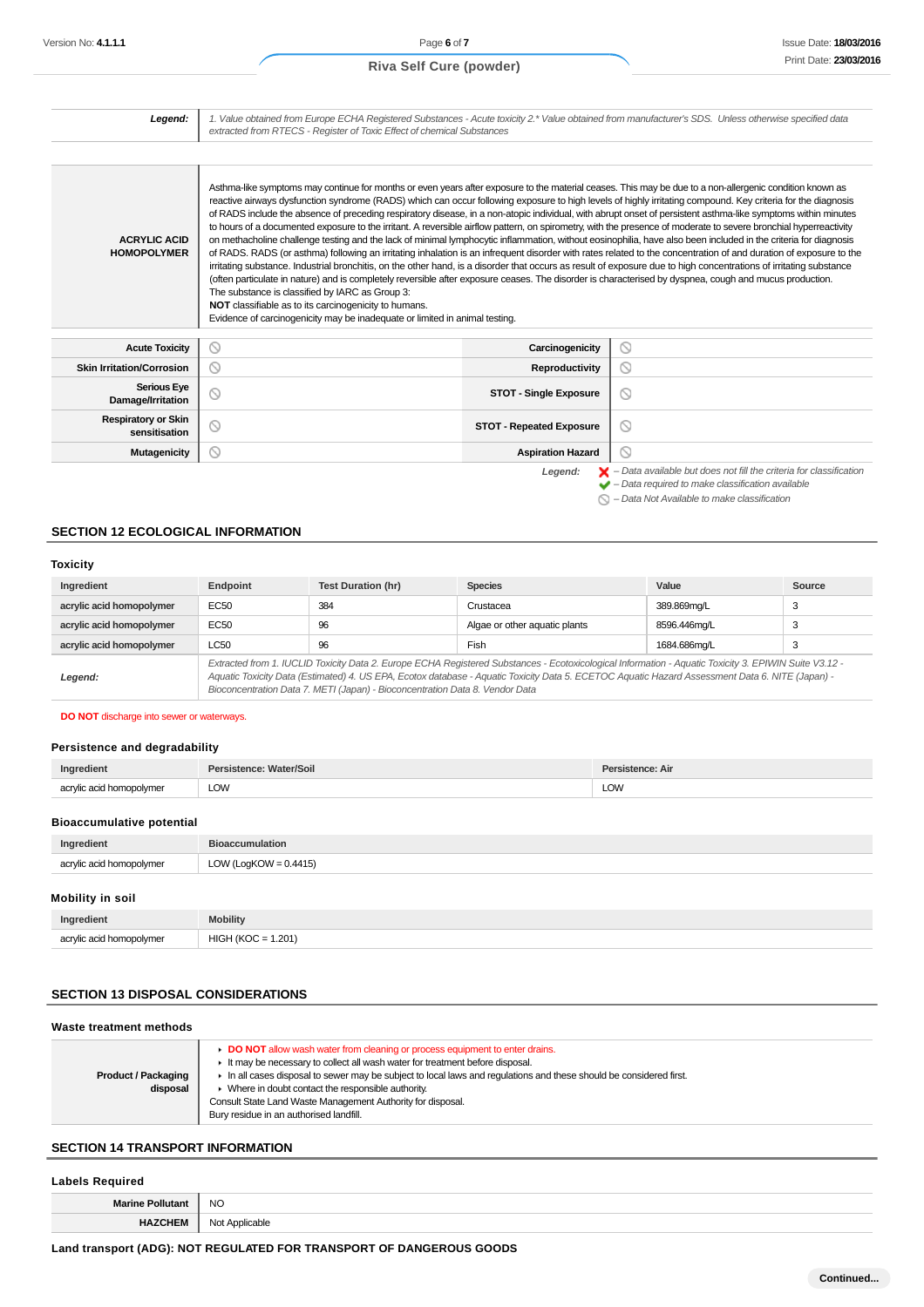Legend:  $\blacktriangleright$  - Data available but does not fill the criteria for classification<br>  $\blacktriangleright$  - Data required to make classification available  $\bigcirc$  – Data Not Available to make classification

| Legend:                                     | 1. Value obtained from Europe ECHA Registered Substances - Acute toxicity 2.* Value obtained from manufacturer's SDS. Unless otherwise specified data<br>extracted from RTECS - Register of Toxic Effect of chemical Substances                                                                                                                                                                                                                                                                                                                                                                                                                                                                                                                                                                                                                                                                                                                                                                                                                                                                                                                                                                                                                                                                                                                                                                                                                                                                                                    |                                 |                     |
|---------------------------------------------|------------------------------------------------------------------------------------------------------------------------------------------------------------------------------------------------------------------------------------------------------------------------------------------------------------------------------------------------------------------------------------------------------------------------------------------------------------------------------------------------------------------------------------------------------------------------------------------------------------------------------------------------------------------------------------------------------------------------------------------------------------------------------------------------------------------------------------------------------------------------------------------------------------------------------------------------------------------------------------------------------------------------------------------------------------------------------------------------------------------------------------------------------------------------------------------------------------------------------------------------------------------------------------------------------------------------------------------------------------------------------------------------------------------------------------------------------------------------------------------------------------------------------------|---------------------------------|---------------------|
|                                             |                                                                                                                                                                                                                                                                                                                                                                                                                                                                                                                                                                                                                                                                                                                                                                                                                                                                                                                                                                                                                                                                                                                                                                                                                                                                                                                                                                                                                                                                                                                                    |                                 |                     |
| <b>ACRYLIC ACID</b><br><b>HOMOPOLYMER</b>   | Asthma-like symptoms may continue for months or even years after exposure to the material ceases. This may be due to a non-allergenic condition known as<br>reactive airways dysfunction syndrome (RADS) which can occur following exposure to high levels of highly irritating compound. Key criteria for the diagnosis<br>of RADS include the absence of preceding respiratory disease, in a non-atopic individual, with abrupt onset of persistent asthma-like symptoms within minutes<br>to hours of a documented exposure to the irritant. A reversible airflow pattern, on spirometry, with the presence of moderate to severe bronchial hyperreactivity<br>on methacholine challenge testing and the lack of minimal lymphocytic inflammation, without eosinophilia, have also been included in the criteria for diagnosis<br>of RADS. RADS (or asthma) following an irritating inhalation is an infrequent disorder with rates related to the concentration of and duration of exposure to the<br>irritating substance. Industrial bronchitis, on the other hand, is a disorder that occurs as result of exposure due to high concentrations of irritating substance<br>(often particulate in nature) and is completely reversible after exposure ceases. The disorder is characterised by dyspnea, cough and mucus production.<br>The substance is classified by IARC as Group 3:<br>NOT classifiable as to its carcinogenicity to humans.<br>Evidence of carcinogenicity may be inadequate or limited in animal testing. |                                 |                     |
| <b>Acute Toxicity</b>                       | $\circ$                                                                                                                                                                                                                                                                                                                                                                                                                                                                                                                                                                                                                                                                                                                                                                                                                                                                                                                                                                                                                                                                                                                                                                                                                                                                                                                                                                                                                                                                                                                            | Carcinogenicity                 | $\circledcirc$      |
| <b>Skin Irritation/Corrosion</b>            | $\circledcirc$                                                                                                                                                                                                                                                                                                                                                                                                                                                                                                                                                                                                                                                                                                                                                                                                                                                                                                                                                                                                                                                                                                                                                                                                                                                                                                                                                                                                                                                                                                                     | Reproductivity                  | $\circledcirc$      |
| <b>Serious Eye</b><br>Damage/Irritation     | $\circledcirc$                                                                                                                                                                                                                                                                                                                                                                                                                                                                                                                                                                                                                                                                                                                                                                                                                                                                                                                                                                                                                                                                                                                                                                                                                                                                                                                                                                                                                                                                                                                     | <b>STOT - Single Exposure</b>   | ◎                   |
| <b>Respiratory or Skin</b><br>sensitisation | O                                                                                                                                                                                                                                                                                                                                                                                                                                                                                                                                                                                                                                                                                                                                                                                                                                                                                                                                                                                                                                                                                                                                                                                                                                                                                                                                                                                                                                                                                                                                  | <b>STOT - Repeated Exposure</b> | ◎                   |
| <b>Mutagenicity</b>                         | N                                                                                                                                                                                                                                                                                                                                                                                                                                                                                                                                                                                                                                                                                                                                                                                                                                                                                                                                                                                                                                                                                                                                                                                                                                                                                                                                                                                                                                                                                                                                  | <b>Aspiration Hazard</b>        | $\circlearrowright$ |

## **SECTION 12 ECOLOGICAL INFORMATION**

#### **Toxicity**

| Ingredient               | Endpoint                                                                                                                                                                                                                                                                                                                                                                                 | <b>Test Duration (hr)</b> | <b>Species</b>                | Value        | Source |
|--------------------------|------------------------------------------------------------------------------------------------------------------------------------------------------------------------------------------------------------------------------------------------------------------------------------------------------------------------------------------------------------------------------------------|---------------------------|-------------------------------|--------------|--------|
| acrylic acid homopolymer | EC50                                                                                                                                                                                                                                                                                                                                                                                     | 384                       | Crustacea                     | 389.869mg/L  | 3      |
| acrylic acid homopolymer | EC50                                                                                                                                                                                                                                                                                                                                                                                     | 96                        | Algae or other aquatic plants | 8596.446mg/L | -3     |
| acrylic acid homopolymer | <b>LC50</b>                                                                                                                                                                                                                                                                                                                                                                              | 96                        | Fish                          | 1684.686mg/L | - 0    |
| Legend:                  | Extracted from 1. IUCLID Toxicity Data 2. Europe ECHA Registered Substances - Ecotoxicological Information - Aquatic Toxicity 3. EPIWIN Suite V3.12 -<br>Aquatic Toxicity Data (Estimated) 4. US EPA, Ecotox database - Aquatic Toxicity Data 5. ECETOC Aquatic Hazard Assessment Data 6. NITE (Japan) -<br>Bioconcentration Data 7. METI (Japan) - Bioconcentration Data 8. Vendor Data |                           |                               |              |        |

### **DO NOT** discharge into sewer or waterways.

### **Persistence and degradability**

| Ingredient               | Persistence: Water/Soil | Persistence: Air   |
|--------------------------|-------------------------|--------------------|
| acrylic acid homopolymer | LOW<br>____             | <b>LOW</b><br>____ |

## **Bioaccumulative potential**

| Ingredient               | <b>Bioaccumulation</b>   |
|--------------------------|--------------------------|
| acrylic acid homopolymer | LOW (LogKOW = $0.4415$ ) |
|                          |                          |

## **Mobility in soil**

| Ingredient               | <b>Mobility</b>              |
|--------------------------|------------------------------|
| acrylic acid homopolymer | $= 1.201$<br>$HIGH (KOC = 1$ |

## **SECTION 13 DISPOSAL CONSIDERATIONS**

### **Waste treatment methods**

| <b>Product / Packaging</b><br>disposal | ► DO NOT allow wash water from cleaning or process equipment to enter drains.<br>It may be necessary to collect all wash water for treatment before disposal.<br>In all cases disposal to sewer may be subject to local laws and requlations and these should be considered first.<br>• Where in doubt contact the responsible authority.<br>Consult State Land Waste Management Authority for disposal.<br>Bury residue in an authorised landfill. |
|----------------------------------------|-----------------------------------------------------------------------------------------------------------------------------------------------------------------------------------------------------------------------------------------------------------------------------------------------------------------------------------------------------------------------------------------------------------------------------------------------------|
|----------------------------------------|-----------------------------------------------------------------------------------------------------------------------------------------------------------------------------------------------------------------------------------------------------------------------------------------------------------------------------------------------------------------------------------------------------------------------------------------------------|

## **SECTION 14 TRANSPORT INFORMATION**

### **Labels Required**

**Marine Pollutant** NO **HAZCHEM** Not Applicable

## **Land transport (ADG): NOT REGULATED FOR TRANSPORT OF DANGEROUS GOODS**